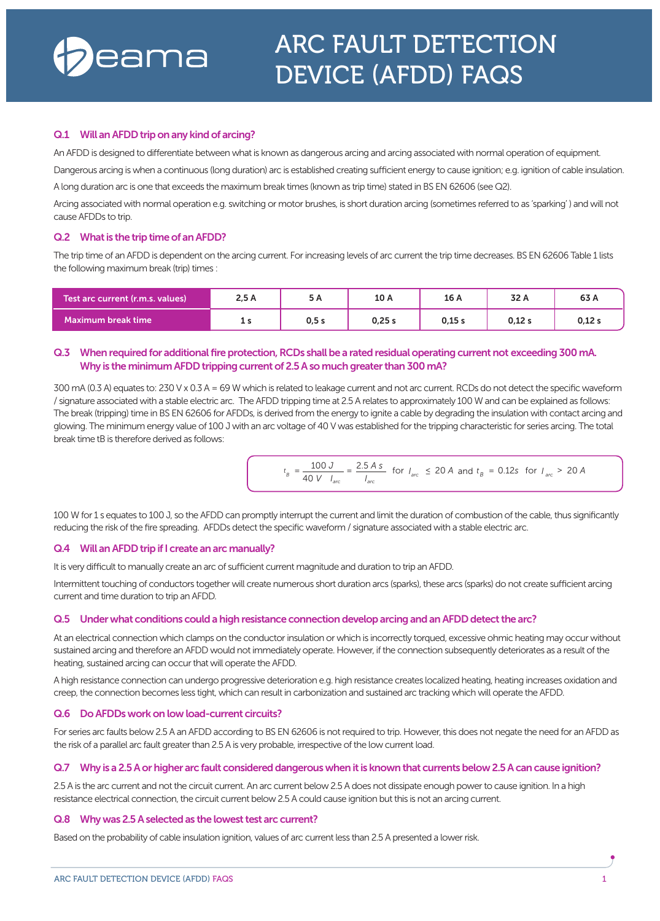

# **Q.1 Will anAFDDtriponany kindof arcing?**

An AFDD is designed to differentiate between what is known as dangerous arcing and arcing associated with normal operation of equipment.

Dangerous arcing is when a continuous (long duration) arc is established creating sufficient energy to cause ignition; e.g. ignition of cable insulation. A long duration arc is one that exceeds the maximum break times (known as trip time) stated in BS EN 62606 (see Q2).

Arcing associated with normal operation e.g. switching or motor brushes, is short duration arcing (sometimes referred to as 'sparking' ) and will not cause AFDDs to trip.

### **Q.2 Whatis the triptimeof anAFDD?**

The trip time of an AFDD is dependent on the arcing current. For increasing levels of arc current the trip time decreases. BS EN 62606 Table 1 lists the following maximum break (trip) times :

| Test arc current (r.m.s. values) ! | 2,5A | 5 A  | 10 A  | 16 A   | 32 A  | 63 A   |
|------------------------------------|------|------|-------|--------|-------|--------|
| Maximum break time                 | -11  | 0.5s | 0.25s | 0.15 s | 0,12s | 0.12 s |

# **Q.3 Whenrequiredfor additionalfireprotection,RCDs shallbe a ratedresidualoperatingcurrentnot exceeding300mA. Why** is the minimum AFDD tripping current of 2.5 A so much greater than 300 mA?

300 mA (0.3 A) equates to: 230 V x 0.3 A=69 W which is related to leakage current and not arc current. RCDs do not detect the specific waveform / signature associated with a stable electric arc. The AFDD tripping time at 2.5 A relates to approximately 100 W and can be explained as follows: The break (tripping) time in BS EN 62606 for AFDDs, is derived from the energy to ignite a cable by degrading the insulation with contact arcing and glowing. The minimum energy value of 100 J with an arc voltage of 40 V was established forthe tripping characteristic for series arcing. The total break time tB is therefore derived as follows:

$$
t_B = \frac{100 \text{ J}}{40 \text{ V} \cdot I_{\text{arc}}} = \frac{2.5 \text{ A s}}{I_{\text{arc}}}
$$
 for  $I_{\text{arc}} \le 20 \text{ A}$  and  $t_B = 0.12 \text{ s}$  for  $I_{\text{arc}} > 20 \text{ A}$ 

100 W for 1 s equates to 100 J, so the AFDD can promptly interrupt the current and limit the duration of combustion of the cable, thus significantly reducing the risk of the fire spreading. AFDDs detect the specific waveform / signature associated with a stable electric arc.

### **Q.4 Will anAFDDtripifI create anarcmanually?**

It is very difficult to manually create an arc of sufficient current magnitude and duration to trip an AFDD.

Intermittent touching of conductors together will create numerous short duration arcs (sparks), these arcs (sparks) do not create sufficient arcing current and time duration to trip an AFDD.

### **Q.5 Under what conditions couldahighresistance connectiondeveloparcingandanAFDDdetectthe arc?**

At an electrical connection which clamps on the conductor insulation or which is incorrectly torqued, excessive ohmic heating may occur without sustained arcing and therefore an AFDD would not immediately operate. However, if the connection subsequently deteriorates as a result of the heating, sustained arcing can occur that will operate the AFDD.

A high resistance connection can undergo progressive deterioration e.g. high resistance creates localized heating, heating increases oxidation and creep, the connection becomes less tight, which can result in carbonization and sustained arc tracking which will operate the AFDD.

### **Q.6 DoAFDDs workonlow load-current circuits?**

For series arc faults below 2.5 A an AFDD according to BS EN 62606 is notrequired to trip. However, this does not negate the need for an AFDD as the risk of a parallel arc fault greaterthan 2.5 A is very probable, irrespective of the low current load.

### **Q.7 Why is a2.5Aorhigher arc fault considereddangerous whenitis knownthat currentsbelow 2.5Acancause ignition?**

2.5 A is the arc current and not the circuit current. An arc current below 2.5 A does not dissipate enough powerto cause ignition. In a high resistance electrical connection, the circuit current below 2.5 A could cause ignition but this is not an arcing current.

### **Q.8 Why was2.5Aselectedas the lowesttest arc current?**

Based on the probability of cable insulation ignition, values of arc current less than 2.5 A presented a lower risk.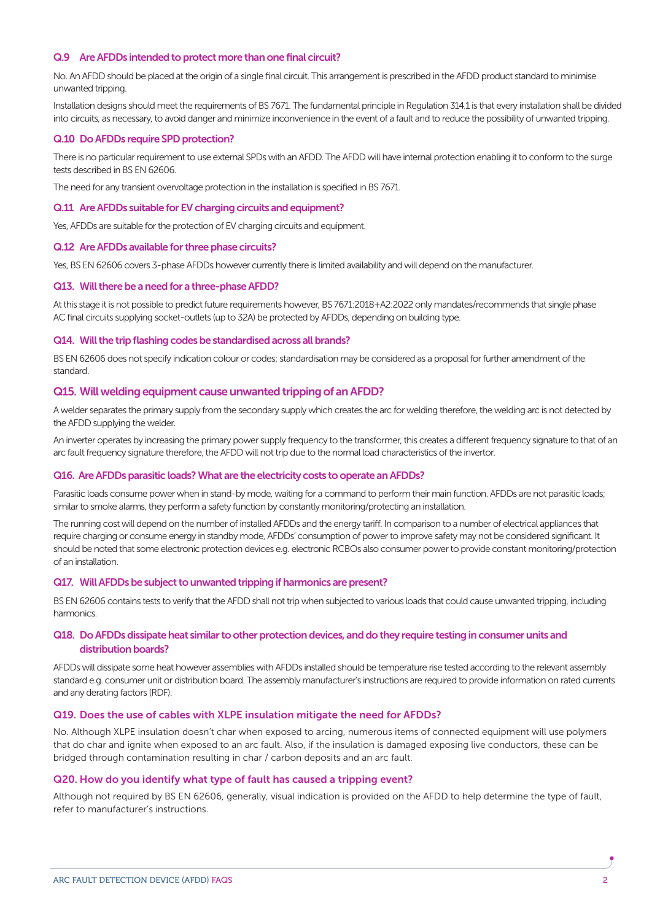# **Q.9** Are AFDDs intended to protect more than one final circuit?

No. An AFDD should be placed at the origin of a single final circuit. This arrangement is prescribed in the AFDD product standard to minimise unwanted tripping.

Installation designs should meet the requirements of BS 7671. The fundamental principle in Regulation 314.1 is that every installation shall be divided into circuits, as necessary, to avoid danger and minimize inconvenience in the event of a fault and to reduce the possibility of unwanted tripping.

### **Q.10** Do AFDDs require SPD protection?

There is no particular requirement to use external SPDs with an AFDD. The AFDD will have internal protection enabling it to conform to the surge tests described in BS EN 62606.

The need for any transient overvoltage protection in the installation is specified in BS 7671.

### **Q.11 Are AFDDs suitable for EV charging circuits and equipment?**

Yes, AFDDs are suitable for the protection of EV charging circuits and equipment.

### **Q.12 AreAFDDs available forthreephase circuits?**

Yes, BS EN 62606 covers 3-phase AFDDs however currently there is limited availability and will depend on the manufacturer.

#### **Q13. Willtherebe aneedfor a three-phaseAFDD?**

At this stage it is not possible to predict future requirements however, BS 7671:2018+A2:2022 only mandates/recommends that single phase AC final circuits supplying socket-outlets (up to 32A) be protected by AFDDs, depending on building type.

#### **Q14.** Will the trip flashing codes be standardised across all brands?

BS EN 62606 does not specify indication colour or codes; standardisation may be considered as a proposal for further amendment of the standard.

### **Q15.** Will welding equipment cause unwanted tripping of an AFDD?

A welder separates the primary supply from the secondary supply which creates the arc for welding therefore, the welding arc is not detected by the AFDD supplying the welder.

An inverter operates by increasing the primary power supply frequency to the transformer, this creates a different frequency signature to that of an arc fault frequency signature therefore, the AFDD will not trip due to the normal load characteristics of the invertor.

#### **Q16. AreAFDDsparasitic loads?What are the electricity costs tooperate anAFDDs?**

Parasitic loads consume power when in stand-by mode, waiting for a command to perform their main function. AFDDs are not parasitic loads; similar to smoke alarms, they perform a safety function by constantly monitoring/protecting an installation.

The running cost will depend on the number of installed AFDDs and the energy tariff. In comparison to a number of electrical appliances that require charging or consume energy in standby mode, AFDDs' consumption of powerto improve safety may not be considered significant. It should be noted that some electronic protection devices e.g. electronic RCBOs also consumer powerto provide constant monitoring/protection of an installation.

#### **Q17.** Will AFDDs be subject to unwanted tripping if harmonics are present?

BS EN 62606 contains tests to verify that the AFDD shall not trip when subjected to various loads that could cause unwanted tripping, including harmonics.

### **Q18. DoAFDDsdissipateheat similartootherprotectiondevices, anddothey require testinginconsumerunits and distribution boards?**

AFDDs will dissipate some heat however assemblies with AFDDs installed should be temperature rise tested according to the relevant assembly standard e.g. consumer unit or distribution board. The assembly manufacturer's instructions are required to provide information on rated currents and any derating factors (RDF).

# **Q19. Does the use of cables with XLPE insulation mitigate the need for AFDDs?**

No. Although XLPE insulation doesn't char when exposed to arcing, numerous items of connected equipment will use polymers that do char and ignite when exposed to an arc fault. Also, if the insulation is damaged exposing live conductors, these can be bridged through contamination resulting in char / carbon deposits and an arc fault.

#### **Q20. How do you identify what type of fault has caused a tripping event?**

Although not required by BS EN 62606, generally, visual indication is provided on the AFDD to help determine the type of fault, refer to manufacturer's instructions.